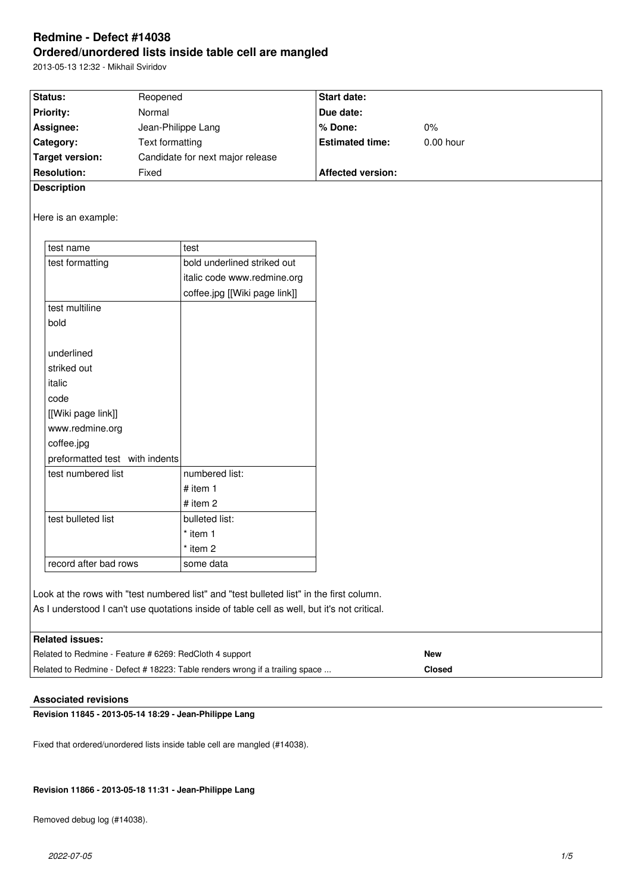# **Redmine - Defect #14038 Ordered/unordered lists inside table cell are mangled**

2013-05-13 12:32 - Mikhail Sviridov

| Status:            | Reopened                         | <b>Start date:</b>       |             |
|--------------------|----------------------------------|--------------------------|-------------|
| <b>Priority:</b>   | Normal                           | Due date:                |             |
| Assignee:          | Jean-Philippe Lang               | % Done:                  | $0\%$       |
| <b>Category:</b>   | Text formatting                  | <b>Estimated time:</b>   | $0.00$ hour |
| Target version:    | Candidate for next major release |                          |             |
| <b>Resolution:</b> | Fixed                            | <b>Affected version:</b> |             |
| <b>Description</b> |                                  |                          |             |

Here is an example:

| test name                      | test                          |
|--------------------------------|-------------------------------|
| test formatting                | bold underlined striked out   |
|                                | italic code www.redmine.org   |
|                                | coffee.jpg [[Wiki page link]] |
| test multiline                 |                               |
| bold                           |                               |
|                                |                               |
| underlined                     |                               |
| striked out                    |                               |
| italic                         |                               |
| code                           |                               |
| [[Wiki page link]]             |                               |
| www.redmine.org                |                               |
| coffee.jpg                     |                               |
| preformatted test with indents |                               |
| test numbered list             | numbered list:                |
|                                | # item $1$                    |
|                                | # item $2$                    |
| test bulleted list             | bulleted list:                |
|                                | * item 1                      |
|                                | * item 2                      |
| record after bad rows          | some data                     |
|                                |                               |

Look at the rows with "test numbered list" and "test bulleted list" in the first column. As I understood I can't use quotations inside of table cell as well, but it's not critical.

| <b>I Beleted Incurrent</b> |
|----------------------------|
|                            |
|                            |

| <b>Indialed Issues.</b>                                                      |               |
|------------------------------------------------------------------------------|---------------|
| Related to Redmine - Feature # 6269: RedCloth 4 support                      | <b>New</b>    |
| Related to Redmine - Defect # 18223: Table renders wrong if a trailing space | <b>Closed</b> |

# **Associated revisions**

**Revision 11845 - 2013-05-14 18:29 - Jean-Philippe Lang**

Fixed that ordered/unordered lists inside table cell are mangled (#14038).

### **Revision 11866 - 2013-05-18 11:31 - Jean-Philippe Lang**

Removed debug log (#14038).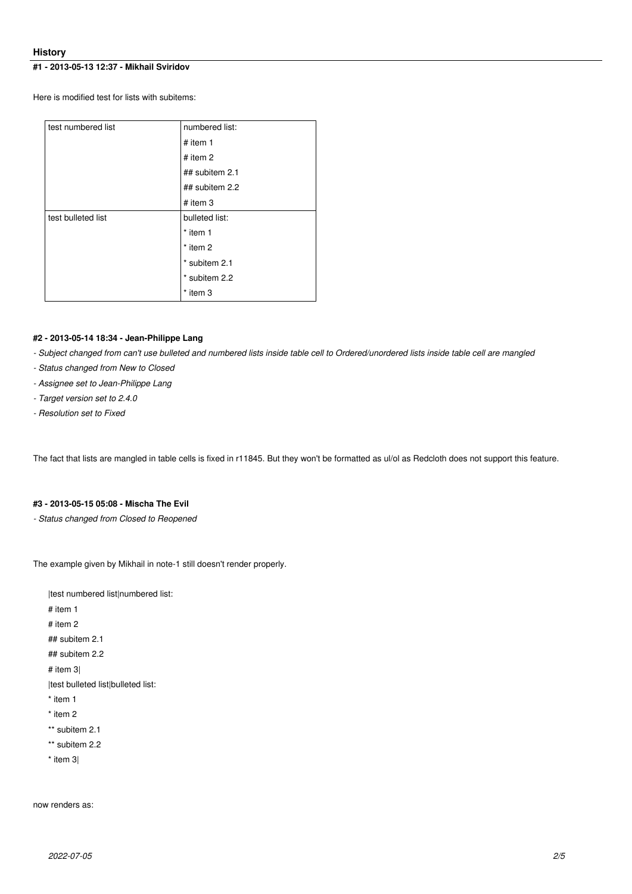# **History**

# **#1 - 2013-05-13 12:37 - Mikhail Sviridov**

Here is modified test for lists with subitems:

| test numbered list | numbered list: |  |
|--------------------|----------------|--|
|                    | # item $1$     |  |
|                    | # item $2$     |  |
|                    | ## subitem 2.1 |  |
|                    | ## subitem 2.2 |  |
|                    | $#$ item 3     |  |
| test bulleted list | bulleted list: |  |
|                    | * item 1       |  |
|                    | $*$ item 2     |  |
|                    | * subitem 2.1  |  |
|                    | * subitem 2.2  |  |
|                    | * item 3       |  |

### **#2 - 2013-05-14 18:34 - Jean-Philippe Lang**

*- Subject changed from can't use bulleted and numbered lists inside table cell to Ordered/unordered lists inside table cell are mangled*

- *Status changed from New to Closed*
- *Assignee set to Jean-Philippe Lang*
- *Target version set to 2.4.0*
- *Resolution set to Fixed*

The fact that lists are mangled in table cells is fixed in r11845. But they won't be formatted as ul/ol as Redcloth does not support this feature.

# **#3 - 2013-05-15 05:08 - Mischa The Evil**

*- Status changed from Closed to Reopened*

The example given by Mikhail in note-1 still doesn't render properly.

|test numbered list|numbered list: # item 1 # item 2 ## subitem 2.1 ## subitem 2.2 # item 3| |test bulleted list|bulleted list: \* item 1 \* item 2 \*\* subitem 2.1 \*\* subitem 2.2 \* item 3|

now renders as: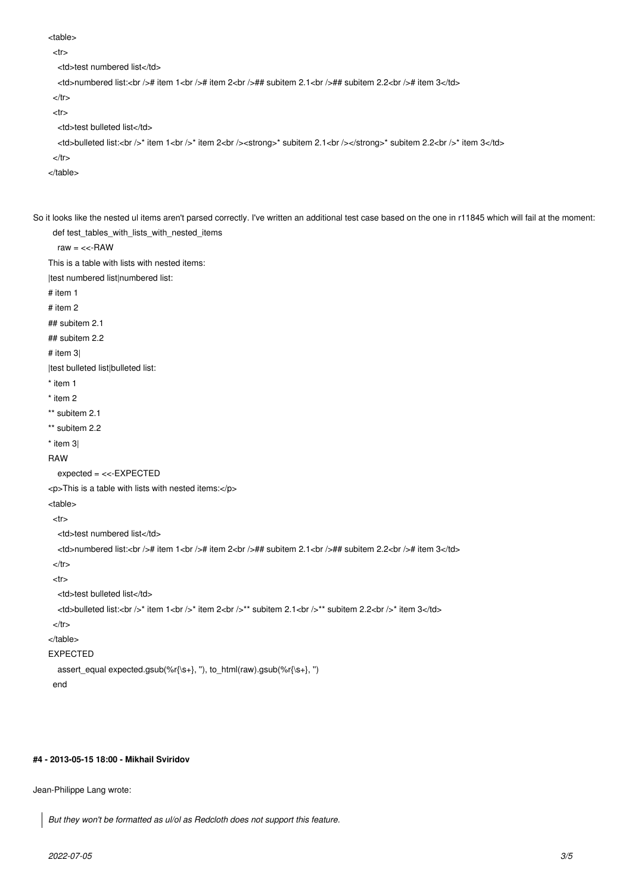<table>

```
<tr>
```
<td>test numbered list</td>

<td>numbered list:<br />>t/> item 1<br />>/> + item 2<br />>//> +# subitem 2.1<br />>//+# subitem 2.2<br />>/</td>

 $<$ /tr $>$ 

 $<$ tr $>$ 

<td>test bulleted list</td>

<td>bulleted list:<br />>/> item 1<br />>/> item 2<br />>tor /><strong>\* subitem 2.1<br /></strong>\* subitem 2.2<br /><//>>tiem 3</td>

 $\langle tr \rangle$ 

```
</table>
```
So it looks like the nested ul items aren't parsed correctly. I've written an additional test case based on the one in r11845 which will fail at the moment: def test\_tables\_with\_lists\_with\_nested\_items

raw  $=$  <<-RAW

This is a table with lists with nested items:

|test numbered list|numbered list:

# item 1

# item 2

## subitem 2.1

## subitem 2.2

# item 3|

|test bulleted list|bulleted list:

- \* item 1
- \* item 2
- \*\* subitem 2.1
- \*\* subitem 2.2
- \* item 3|

#### RAW

expected = <<-EXPECTED

<p>This is a table with lists with nested items:</p>

<table>

 $<$ tr $>$ 

<td>test numbered list</td>

<td>numbered list:<br /># item 1<br /># item 2<br />## subitem 2.1<br />## subitem 2.2<br /># item 3</td>

```
</tr>
```
 $<$ tr $>$ 

<td>test bulleted list</td>

<td>bulleted list:<br />>/>\* item 1<br />>\* item 2<br />>\*\* subitem 2.1<br />>/\*\* subitem 2.2<br />>\* item 3</td>

```
\langle tr \rangle
```
</table>

```
EXPECTED
```
 assert\_equal expected.gsub(%r{\s+}, ''), to\_html(raw).gsub(%r{\s+}, '') end

# **#4 - 2013-05-15 18:00 - Mikhail Sviridov**

Jean-Philippe Lang wrote:

*But they won't be formatted as ul/ol as Redcloth does not support this feature.*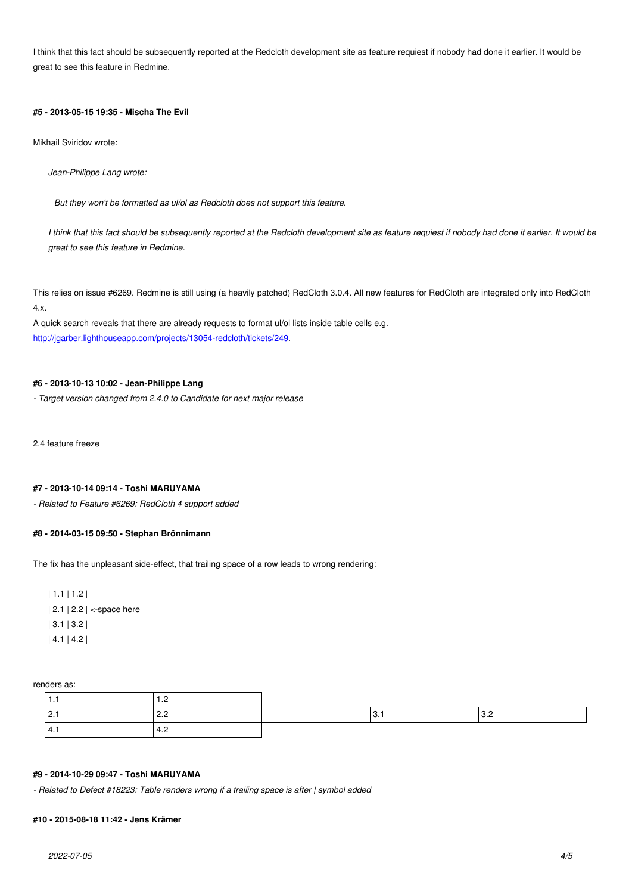I think that this fact should be subsequently reported at the Redcloth development site as feature requiest if nobody had done it earlier. It would be great to see this feature in Redmine.

# **#5 - 2013-05-15 19:35 - Mischa The Evil**

Mikhail Sviridov wrote:

*Jean-Philippe Lang wrote:*

*But they won't be formatted as ul/ol as Redcloth does not support this feature.*

*I think that this fact should be subsequently reported at the Redcloth development site as feature requiest if nobody had done it earlier. It would be great to see this feature in Redmine.*

This relies on issue #6269. Redmine is still using (a heavily patched) RedCloth 3.0.4. All new features for RedCloth are integrated only into RedCloth 4.x.

A quick search reveals that there are already requests to format ul/ol lists inside table cells e.g. http://jgarber.lighthouseapp.com/projects/13054-redcloth/tickets/249.

#### **#6 - 2013-10-13 10:02 - Jean-Philippe Lang**

*[- Target version changed from 2.4.0 to Candidate for next major rele](http://jgarber.lighthouseapp.com/projects/13054-redcloth/tickets/249)ase*

2.4 feature freeze

#### **#7 - 2013-10-14 09:14 - Toshi MARUYAMA**

*- Related to Feature #6269: RedCloth 4 support added*

#### **#8 - 2014-03-15 09:50 - Stephan Brönnimann**

The fix has the unpleasant side-effect, that trailing space of a row leads to wrong rendering:

| 1.1 | 1.2 | | 2.1 | 2.2 | <-space here | 3.1 | 3.2 | | 4.1 | 4.2 |

renders as:

| . .  |        |    |     |
|------|--------|----|-----|
| 2.1  | $\sim$ | U. | ◡.∟ |
| 14.1 | –⊷–    |    |     |

#### **#9 - 2014-10-29 09:47 - Toshi MARUYAMA**

*- Related to Defect #18223: Table renders wrong if a trailing space is after | symbol added*

### **#10 - 2015-08-18 11:42 - Jens Krämer**